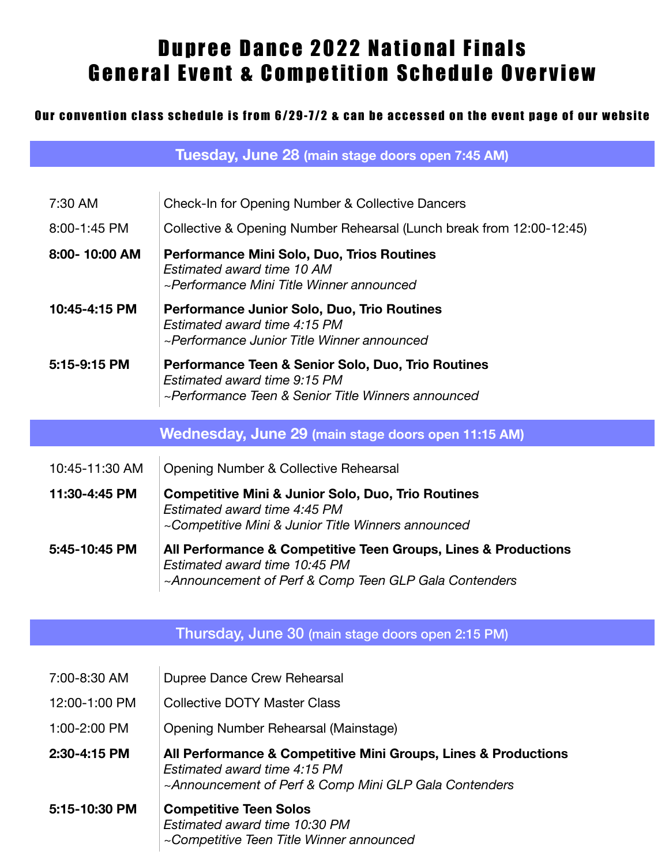## Dupree Dance 2022 National Finals General Event & Competition Schedule Overview

## Our convention class schedule is from 6/29-7/2 & can be accessed on the event page of our website

**Tuesday, June 28 (main stage doors open 7:45 AM)**

| 7:30 AM        | Check-In for Opening Number & Collective Dancers                                                                                                         |
|----------------|----------------------------------------------------------------------------------------------------------------------------------------------------------|
| 8:00-1:45 PM   | Collective & Opening Number Rehearsal (Lunch break from 12:00-12:45)                                                                                     |
| 8:00-10:00 AM  | Performance Mini Solo, Duo, Trios Routines<br>Estimated award time 10 AM<br>~Performance Mini Title Winner announced                                     |
| 10:45-4:15 PM  | Performance Junior Solo, Duo, Trio Routines<br>Estimated award time 4:15 PM<br>~Performance Junior Title Winner announced                                |
| 5:15-9:15 PM   | Performance Teen & Senior Solo, Duo, Trio Routines<br>Estimated award time 9:15 PM<br>~Performance Teen & Senior Title Winners announced                 |
|                | Wednesday, June 29 (main stage doors open 11:15 AM)                                                                                                      |
| 10:45-11:30 AM | Opening Number & Collective Rehearsal                                                                                                                    |
| 11:30-4:45 PM  | <b>Competitive Mini &amp; Junior Solo, Duo, Trio Routines</b><br>Estimated award time 4:45 PM<br>~Competitive Mini & Junior Title Winners announced      |
| 5:45-10:45 PM  | All Performance & Competitive Teen Groups, Lines & Productions<br>Estimated award time 10:45 PM<br>~Announcement of Perf & Comp Teen GLP Gala Contenders |

## Thursday, June 30 (main stage doors open 2:15 PM)

- 12:00-1:00 PM Collective DOTY Master Class
- 1:00-2:00 PM Opening Number Rehearsal (Mainstage)
- **2:30-4:15 PM All Performance & Competitive Mini Groups, Lines & Productions**  *Estimated award time 4:15 PM ~Announcement of Perf & Comp Mini GLP Gala Contenders*
- **5:15-10:30 PM Competitive Teen Solos**  *Estimated award time 10:30 PM ~Competitive Teen Title Winner announced*